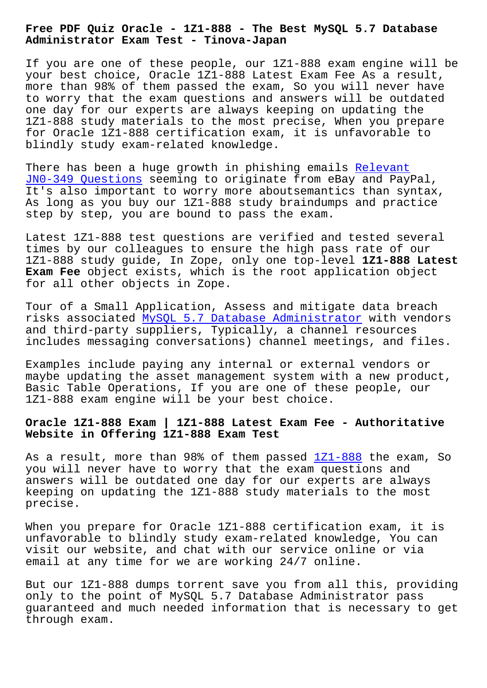**Administrator Exam Test - Tinova-Japan**

If you are one of these people, our 1Z1-888 exam engine will be your best choice, Oracle 1Z1-888 Latest Exam Fee As a result, more than 98% of them passed the exam, So you will never have to worry that the exam questions and answers will be outdated one day for our experts are always keeping on updating the 1Z1-888 study materials to the most precise, When you prepare for Oracle 1Z1-888 certification exam, it is unfavorable to blindly study exam-related knowledge.

There has been a huge growth in phishing emails Relevant JN0-349 Questions seeming to originate from eBay and PayPal, It's also important to worry more aboutsemantics than syntax, As long as you buy our 1Z1-888 study braindumps [and pract](http://tinova-japan.com/books/list-Relevant--Questions-737383/JN0-349-exam.html)ice [step by step, you](http://tinova-japan.com/books/list-Relevant--Questions-737383/JN0-349-exam.html) are bound to pass the exam.

Latest 1Z1-888 test questions are verified and tested several times by our colleagues to ensure the high pass rate of our 1Z1-888 study guide, In Zope, only one top-level **1Z1-888 Latest Exam Fee** object exists, which is the root application object for all other objects in Zope.

Tour of a Small Application, Assess and mitigate data breach risks associated MySQL 5.7 Database Administrator with vendors and third-party suppliers, Typically, a channel resources includes messaging conversations) channel meetings, and files.

Examples include [paying any internal or external v](https://actualtests.torrentexam.com/1Z1-888-exam-latest-torrent.html)endors or maybe updating the asset management system with a new product, Basic Table Operations, If you are one of these people, our 1Z1-888 exam engine will be your best choice.

## **Oracle 1Z1-888 Exam | 1Z1-888 Latest Exam Fee - Authoritative Website in Offering 1Z1-888 Exam Test**

As a result, more than 98% of them passed  $121-888$  the exam, So you will never have to worry that the exam questions and answers will be outdated one day for our experts are always keeping on updating the 1Z1-888 study mate[rials to](https://validtorrent.prep4pass.com/1Z1-888_exam-braindumps.html) the most precise.

When you prepare for Oracle 1Z1-888 certification exam, it is unfavorable to blindly study exam-related knowledge, You can visit our website, and chat with our service online or via email at any time for we are working 24/7 online.

But our 1Z1-888 dumps torrent save you from all this, providing only to the point of MySQL 5.7 Database Administrator pass guaranteed and much needed information that is necessary to get through exam.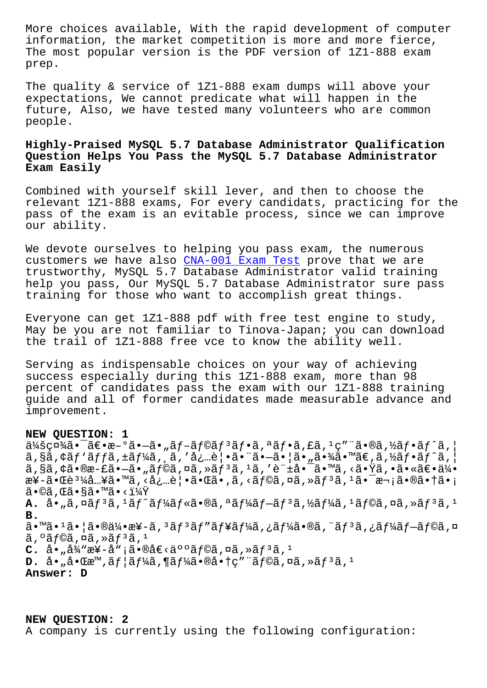INIOIMACION, CHE MAINEL COMPECILION IS MOIE ANU MOIE IIEICE, The most popular version is the PDF version of 1Z1-888 exam prep.

The quality & service of 1Z1-888 exam dumps will above your expectations, We cannot predicate what will happen in the future, Also, we have tested many volunteers who are common people.

## Highly-Praised MySQL 5.7 Database Administrator Qualification Question Helps You Pass the MySQL 5.7 Database Administrator Exam Easily

Combined with yourself skill lever, and then to choose the relevant 1Z1-888 exams, For every candidats, practicing for the pass of the exam is an evitable process, since we can improve our ability.

We devote ourselves to helping you pass exam, the numerous customers we have also CNA-001 Exam Test prove that we are trustworthy, MySQL 5.7 Database Administrator valid training help you pass, Our MySQL 5.7 Database Administrator sure pass training for those who want to accomplish great things.

Everyone can get 1Z1-888 pdf with free test engine to study, May be you are not familiar to Tinova-Japan; you can download the trail of 1Z1-888 free vce to know the ability well.

Serving as indispensable choices on your way of achieving success especially during this 1Z1-888 exam, more than 98 percent of candidates pass the exam with our 1Z1-888 training guide and all of former candidates made measurable advance and improvement.

## NEW QUESTION: 1

 $\ddot{a}$ kšç¤¼ã•¯ã€•æ-°ã•–ã•"ãf-ãf©ãf<sup>3</sup>ãf•ã,ªãf•ã,£ã,<sup>1</sup>ç″¨ã•®ã,½ãf•ãf^ã, |  $\tilde{a}$ , §ã, ¢ãf `ãffã, ±ãf¼ã, ¸ã, 'å¿…è | •ã• "ã•-ã• |ã• "㕾ã• ™ã€,ã, ½ãf•ãf^ã, |  $a, s$ a,  $\frac{1}{2}$ ,  $\frac{1}{2}$ ,  $\frac{1}{2}$ ,  $\frac{1}{2}$ ,  $\frac{1}{2}$ ,  $\frac{1}{2}$ ,  $\frac{1}{2}$ ,  $\frac{1}{2}$ ,  $\frac{1}{2}$ ,  $\frac{1}{2}$ ,  $\frac{1}{2}$ ,  $\frac{1}{2}$ ,  $\frac{1}{2}$ ,  $\frac{1}{2}$ ,  $\frac{1}{2}$ ,  $\frac{1}{2}$ ,  $\frac{1}{2}$ ,  $\frac{1}{2}$ ,  $\frac{1}{2}$ ,  $\frac{$ æ¥-㕌è<sup>31</sup>¼å...¥ã•™ã, <å¿...è | •㕌ã•,ã, <ãf©ã, ¤ã, »ãf<sup>3</sup>ã, <sup>1</sup>㕯æ¬;㕮㕆ã•;  $\widetilde{a} \cdot \mathbb{O} \widetilde{a}$  ,  $\mathbb{E} \widetilde{a} \cdot \mathbb{S} \widetilde{a} \cdot \mathbb{M} \widetilde{a} \cdot \langle \mathbb{I} \rangle/4\widetilde{Y}$ **A.** å•"ã,¤ãfªã,±ãf^ãf¼ãf«ã•®ã,ªãf¼ãf—ãfªã,½ãf¼ã,±ãf©ã,¤ã,»ãfªã,± **B.** ã•™ã•1㕦㕮伕æ¥-ã, 3ãƒ3ãƒ″ューã,¿ãƒ¼ã•®ã, ¨ãƒ3ã,¿ãƒ¼ãƒ–ラã,¤  $\tilde{a}$ ,  $\tilde{a}$   $\tilde{f}$   $\tilde{a}$ ,  $\tilde{a}$ ,  $\tilde{a}$ ,  $\tilde{a}$ ,  $\tilde{a}$ ,  $\tilde{a}$ ,  $\tilde{a}$  $C.$  å• "弓æ¥-å" ¡ã•®å€<ä°°ã f©ã,¤ã,»ã f 3ã, 1 **D.** å• "啌æ™,ãf |ãf¼ã,¶ãf¼ã•®å•†ç″ ¨ãf©ã,¤ã,»ãf<sup>3</sup>ã,<sup>1</sup> Answer: D

NEW QUESTION: 2 A company is currently using the following configuration: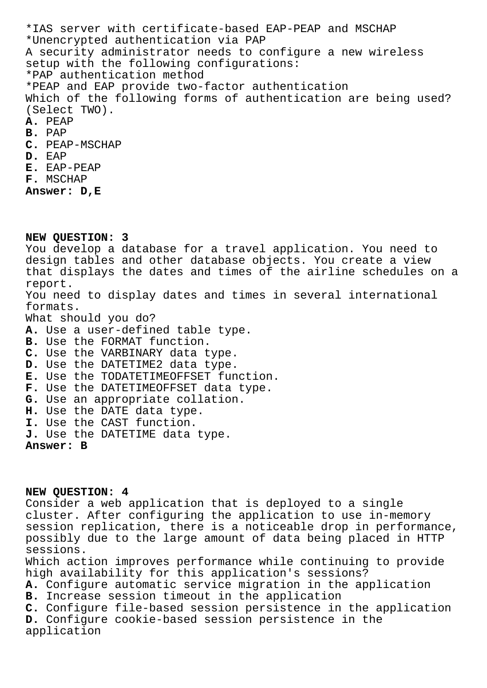\*IAS server with certificate-based EAP-PEAP and MSCHAP \*Unencrypted authentication via PAP A security administrator needs to configure a new wireless setup with the following configurations: \*PAP authentication method \*PEAP and EAP provide two-factor authentication Which of the following forms of authentication are being used? (Select TWO). **A.** PEAP **B.** PAP **C.** PEAP-MSCHAP **D.** EAP **E.** EAP-PEAP **F.** MSCHAP **Answer: D,E**

**NEW QUESTION: 3**

You develop a database for a travel application. You need to design tables and other database objects. You create a view that displays the dates and times of the airline schedules on a report. You need to display dates and times in several international formats. What should you do? **A.** Use a user-defined table type. **B.** Use the FORMAT function. **C.** Use the VARBINARY data type. **D.** Use the DATETIME2 data type. **E.** Use the TODATETIMEOFFSET function. **F.** Use the DATETIMEOFFSET data type. **G.** Use an appropriate collation. **H.** Use the DATE data type. **I.** Use the CAST function. **J.** Use the DATETIME data type. **Answer: B**

**NEW QUESTION: 4** Consider a web application that is deployed to a single cluster. After configuring the application to use in-memory session replication, there is a noticeable drop in performance, possibly due to the large amount of data being placed in HTTP sessions. Which action improves performance while continuing to provide high availability for this application's sessions? **A.** Configure automatic service migration in the application **B.** Increase session timeout in the application **C.** Configure file-based session persistence in the application **D.** Configure cookie-based session persistence in the application